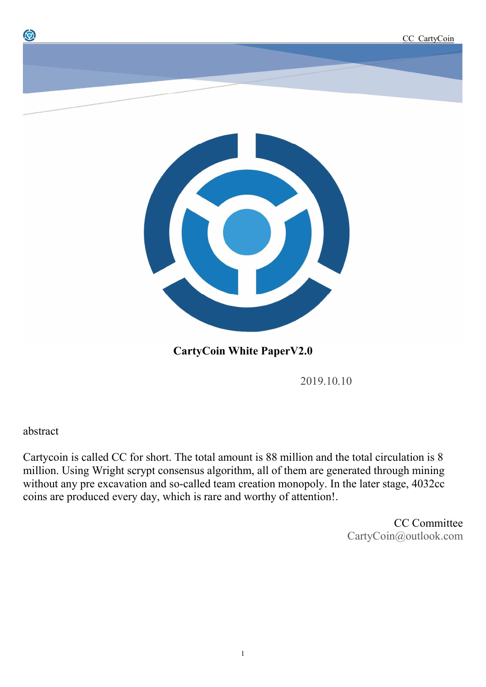

**CartyCoin White PaperV2.0**

2019.10.10

abstract

0

Cartycoin is called CC for short. The total amount is 88 million and the total circulation is 8 million. Using Wright scrypt consensus algorithm, all of them are generated through mining without any pre excavation and so-called team creation monopoly. In the later stage, 4032cc coins are produced every day, which is rare and worthy of attention!.

> CC Committee CartyCoin@outlook.com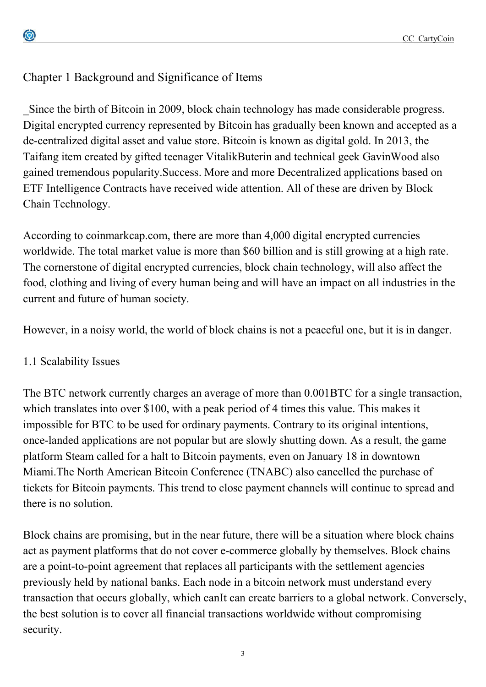# Chapter 1 Background and Significance of Items

\_Since the birth of Bitcoin in 2009, block chain technology has made considerable progress. Digital encrypted currency represented by Bitcoin has gradually been known and accepted as a de-centralized digital asset and value store. Bitcoin is known as digital gold. In 2013, the Taifang item created by gifted teenager VitalikButerin and technical geek GavinWood also gained tremendous popularity.Success. More and more Decentralized applications based on ETF Intelligence Contracts have received wide attention. All of these are driven by Block Chain Technology.

According to coinmarkcap.com, there are more than 4,000 digital encrypted currencies worldwide. The total market value is more than \$60 billion and is still growing at a high rate. The cornerstone of digital encrypted currencies, block chain technology, will also affect the food, clothing and living of every human being and will have an impact on all industries in the current and future of human society.

However, in a noisy world, the world of block chains is not a peaceful one, but it is in danger.

## 1.1 Scalability Issues

The BTC network currently charges an average of more than 0.001BTC for a single transaction, which translates into over \$100, with a peak period of 4 times this value. This makes it impossible for BTC to be used for ordinary payments. Contrary to its original intentions, once-landed applications are not popular but are slowly shutting down. As a result, the game platform Steam called for a halt to Bitcoin payments, even on January 18 in downtown Miami.The North American Bitcoin Conference (TNABC) also cancelled the purchase of tickets for Bitcoin payments. This trend to close payment channels will continue to spread and there is no solution.

Block chains are promising, but in the near future, there will be a situation where block chains act as payment platforms that do not cover e-commerce globally by themselves. Block chains are a point-to-point agreement that replaces all participants with the settlement agencies previously held by national banks. Each node in a bitcoin network must understand every transaction that occurs globally, which canIt can create barriers to a global network. Conversely, the best solution is to cover all financial transactions worldwide without compromising security.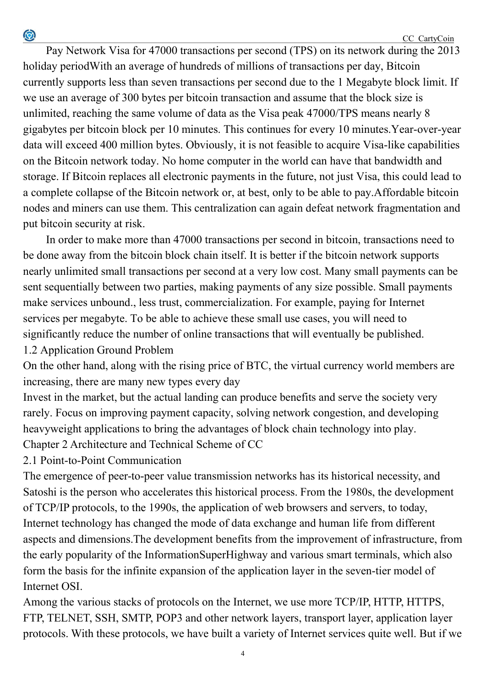Pay Network Visa for 47000 transactions per second (TPS) on its network during the 2013 holiday periodWith an average of hundreds of millions of transactions per day, Bitcoin currently supports less than seven transactions per second due to the 1 Megabyte block limit. If we use an average of 300 bytes per bitcoin transaction and assume that the block size is unlimited, reaching the same volume of data as the Visa peak 47000/TPS means nearly 8 gigabytes per bitcoin block per 10 minutes. This continues for every 10 minutes.Year-over-year data will exceed 400 million bytes. Obviously, it is not feasible to acquire Visa-like capabilities on the Bitcoin network today. No home computer in the world can have that bandwidth and storage. If Bitcoin replaces all electronic payments in the future, not just Visa, this could lead to a complete collapse of the Bitcoin network or, at best, only to be able to pay.Affordable bitcoin nodes and miners can use them. This centralization can again defeat network fragmentation and put bitcoin security at risk.

In order to make more than 47000 transactions per second in bitcoin, transactions need to be done away from the bitcoin block chain itself. It is better if the bitcoin network supports nearly unlimited small transactions per second at a very low cost. Many small payments can be sent sequentially between two parties, making payments of any size possible. Small payments make services unbound., less trust, commercialization. For example, paying for Internet services per megabyte. To be able to achieve these small use cases, you will need to significantly reduce the number of online transactions that will eventually be published. 1.2 Application Ground Problem

On the other hand, along with the rising price of BTC, the virtual currency world members are increasing, there are many new types every day

Invest in the market, but the actual landing can produce benefits and serve the society very rarely. Focus on improving payment capacity, solving network congestion, and developing heavyweight applications to bring the advantages of block chain technology into play. Chapter 2 Architecture and Technical Scheme of CC

2.1 Point-to-Point Communication

 $\bigcirc$ 

The emergence of peer-to-peer value transmission networks has its historical necessity, and Satoshi is the person who accelerates this historical process. From the 1980s, the development of TCP/IP protocols, to the 1990s, the application of web browsers and servers, to today, Internet technology has changed the mode of data exchange and human life from different aspects and dimensions.The development benefits from the improvement of infrastructure, from the early popularity of the InformationSuperHighway and various smart terminals, which also form the basis for the infinite expansion of the application layer in the seven-tier model of Internet OSI.

Among the various stacks of protocols on the Internet, we use more TCP/IP, HTTP, HTTPS, FTP, TELNET, SSH, SMTP, POP3 and other network layers, transport layer, application layer protocols. With these protocols, we have built a variety of Internet services quite well. But if we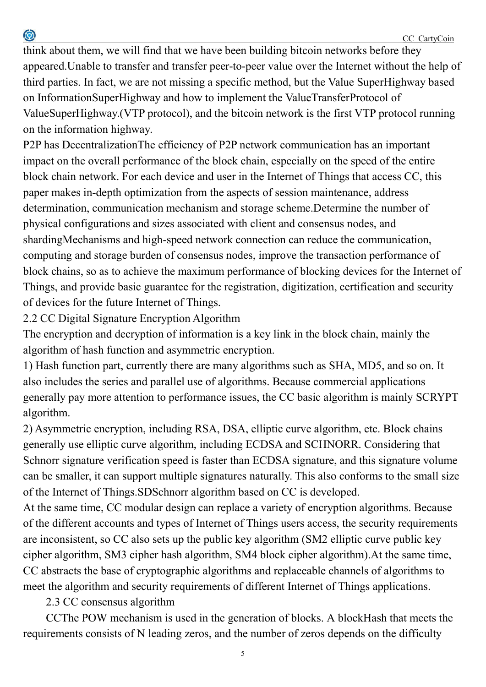think about them, we will find that we have been building bitcoin networks before they appeared.Unable to transfer and transfer peer-to-peer value over the Internet without the help of third parties. In fact, we are not missing a specific method, but the Value SuperHighway based on InformationSuperHighway and how to implement the ValueTransferProtocol of ValueSuperHighway.(VTP protocol), and the bitcoin network is the first VTP protocol running on the information highway.

P2P has DecentralizationThe efficiency of P2P network communication has an important impact on the overall performance of the block chain, especially on the speed of the entire block chain network. For each device and user in the Internet of Things that access CC, this paper makes in-depth optimization from the aspects of session maintenance, address determination, communication mechanism and storage scheme.Determine the number of physical configurations and sizes associated with client and consensus nodes, and shardingMechanisms and high-speed network connection can reduce the communication, computing and storage burden of consensus nodes, improve the transaction performance of block chains, so as to achieve the maximum performance of blocking devices for the Internet of Things, and provide basic guarantee for the registration, digitization, certification and security of devices for the future Internet of Things.

2.2 CC Digital Signature Encryption Algorithm

0

The encryption and decryption of information is a key link in the block chain, mainly the algorithm of hash function and asymmetric encryption.

1) Hash function part, currently there are many algorithms such as SHA, MD5, and so on. It also includes the series and parallel use of algorithms. Because commercial applications generally pay more attention to performance issues, the CC basic algorithm is mainly SCRYPT algorithm.

2) Asymmetric encryption, including RSA, DSA, elliptic curve algorithm, etc. Block chains generally use elliptic curve algorithm, including ECDSA and SCHNORR. Considering that Schnorr signature verification speed is faster than ECDSA signature, and this signature volume can be smaller, it can support multiple signatures naturally. This also conforms to the small size of the Internet of Things.SDSchnorr algorithm based on CC is developed.

At the same time, CC modular design can replace a variety of encryption algorithms. Because of the different accounts and types of Internet of Things users access, the security requirements are inconsistent, so CC also sets up the public key algorithm (SM2 elliptic curve public key cipher algorithm, SM3 cipher hash algorithm, SM4 block cipher algorithm).At the same time, CC abstracts the base of cryptographic algorithms and replaceable channels of algorithms to meet the algorithm and security requirements of different Internet of Things applications.

2.3 CC consensus algorithm

CCThe POW mechanism is used in the generation of blocks. A blockHash that meets the requirements consists of N leading zeros, and the number of zeros depends on the difficulty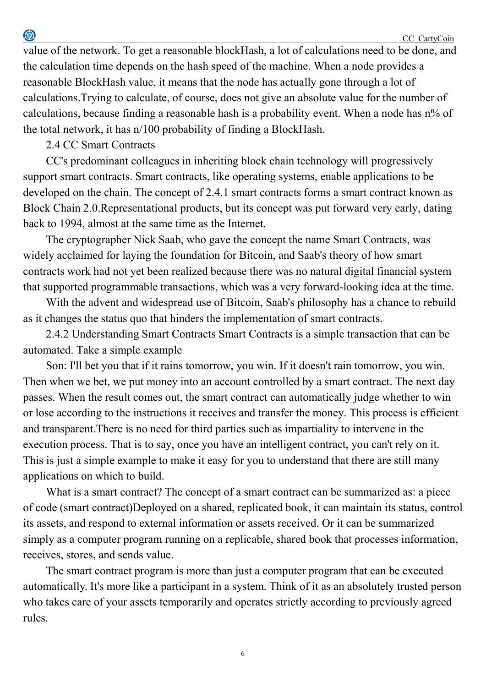value of the network. To get a reasonable blockHash, a lot of calculations need to be done, and the calculation time depends on the hash speed of the machine. When a node provides a reasonable BlockHash value, it means that the node has actually gone through a lot of calculations.Trying to calculate, of course, does not give an absolute value for the number of calculations, because finding a reasonable hash is a probability event. When a node has n% of the total network, it has n/100 probability of finding a BlockHash.

#### 2.4 CC Smart Contracts

CC's predominant colleagues in inheriting block chain technology will progressively support smart contracts. Smart contracts, like operating systems, enable applications to be developed on the chain. The concept of 2.4.1 smart contracts forms a smart contract known as Block Chain 2.0.Representational products, but its concept was put forward very early, dating back to 1994, almost at the same time as the Internet.

The cryptographer Nick Saab, who gave the concept the name Smart Contracts, was widely acclaimed for laying the foundation for Bitcoin, and Saab's theory of how smart contracts work had not yet been realized because there was no natural digital financial system that supported programmable transactions, which was a very forward-looking idea at the time.

With the advent and widespread use of Bitcoin, Saab's philosophy has a chance to rebuild as it changes the status quo that hinders the implementation of smart contracts.

2.4.2 Understanding Smart Contracts Smart Contracts is a simple transaction that can be automated. Take a simple example

Son: I'll bet you that if it rains tomorrow, you win. If it doesn't rain tomorrow, you win. Then when we bet, we put money into an account controlled by a smart contract. The next day passes. When the result comes out, the smart contract can automatically judge whether to win or lose according to the instructions it receives and transfer the money. This process is efficient and transparent.There is no need for third parties such as impartiality to intervene in the execution process. That is to say, once you have an intelligent contract, you can't rely on it. This is just a simple example to make it easy for you to understand that there are still many applications on which to build.

What is a smart contract? The concept of a smart contract can be summarized as: a piece of code (smart contract)Deployed on a shared, replicated book, it can maintain its status, control its assets, and respond to external information or assets received. Or it can be summarized simply as a computer program running on a replicable, shared book that processes information, receives, stores, and sends value.

The smart contract program is more than just a computer program that can be executed automatically. It's more like a participant in a system. Think of it as an absolutely trusted person who takes care of your assets temporarily and operates strictly according to previously agreed rules.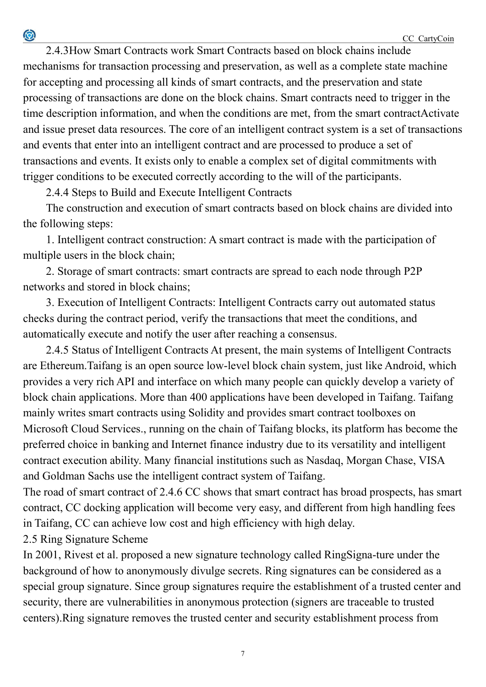2.4.3How Smart Contracts work Smart Contracts based on block chains include mechanisms for transaction processing and preservation, as well as a complete state machine for accepting and processing all kinds of smart contracts, and the preservation and state processing of transactions are done on the block chains. Smart contracts need to trigger in the time description information, and when the conditions are met, from the smart contractActivate and issue preset data resources. The core of an intelligent contract system is a set of transactions and events that enter into an intelligent contract and are processed to produce a set of transactions and events. It exists only to enable a complex set of digital commitments with trigger conditions to be executed correctly according to the will of the participants.

2.4.4 Steps to Build and Execute Intelligent Contracts

The construction and execution of smart contracts based on block chains are divided into the following steps:

1. Intelligent contract construction: A smart contract is made with the participation of multiple users in the block chain;

2. Storage of smart contracts: smart contracts are spread to each node through P2P networks and stored in block chains;

3. Execution of Intelligent Contracts: Intelligent Contracts carry out automated status checks during the contract period, verify the transactions that meet the conditions, and automatically execute and notify the user after reaching a consensus.

2.4.5 Status of Intelligent Contracts At present, the main systems of Intelligent Contracts are Ethereum.Taifang is an open source low-level block chain system, just like Android, which provides a very rich API and interface on which many people can quickly develop a variety of block chain applications. More than 400 applications have been developed in Taifang. Taifang mainly writes smart contracts using Solidity and provides smart contract toolboxes on Microsoft Cloud Services., running on the chain of Taifang blocks, its platform has become the preferred choice in banking and Internet finance industry due to its versatility and intelligent contract execution ability. Many financial institutions such as Nasdaq, Morgan Chase, VISA and Goldman Sachs use the intelligent contract system of Taifang.

The road of smart contract of 2.4.6 CC shows that smart contract has broad prospects, has smart contract, CC docking application will become very easy, and different from high handling fees in Taifang, CC can achieve low cost and high efficiency with high delay.

2.5 Ring Signature Scheme

 $\bigcirc$ 

In 2001, Rivest et al. proposed a new signature technology called RingSigna-ture under the background of how to anonymously divulge secrets. Ring signatures can be considered as a special group signature. Since group signatures require the establishment of a trusted center and security, there are vulnerabilities in anonymous protection (signers are traceable to trusted centers).Ring signature removes the trusted center and security establishment process from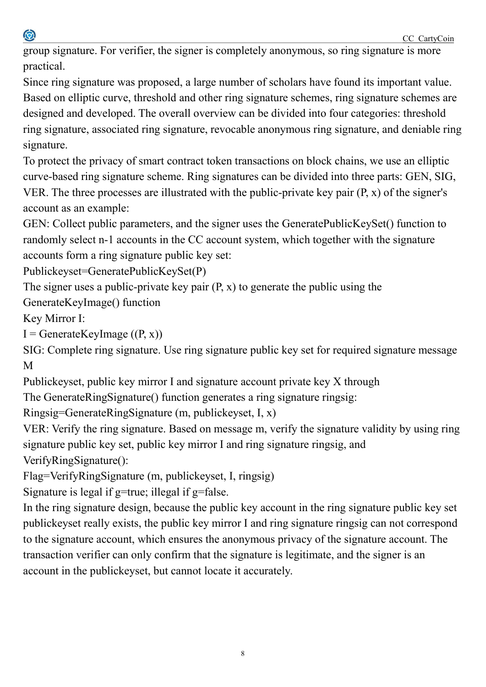0

group signature. For verifier, the signer is completely anonymous, so ring signature is more practical.

Since ring signature was proposed, a large number of scholars have found its important value. Based on elliptic curve, threshold and other ring signature schemes, ring signature schemes are designed and developed. The overall overview can be divided into four categories: threshold ring signature, associated ring signature, revocable anonymous ring signature, and deniable ring signature.

To protect the privacy of smart contract token transactions on block chains, we use an elliptic curve-based ring signature scheme. Ring signatures can be divided into three parts: GEN, SIG, VER. The three processes are illustrated with the public-private key pair (P, x) of the signer's account as an example:

GEN: Collect public parameters, and the signer uses the GeneratePublicKeySet() function to randomly select n-1 accounts in the CC account system, which together with the signature accounts form a ring signature public key set:

```
Publickeyset=GeneratePublicKeySet(P)
```
The signer uses a public-private key pair  $(P, x)$  to generate the public using the

GenerateKeyImage() function

Key Mirror I:

 $I =$  GenerateKeyImage  $((P, x))$ 

SIG: Complete ring signature. Use ring signature public key set for required signature message M

Publickeyset, public key mirror I and signature account private key X through

The GenerateRingSignature() function generates a ring signature ringsig:

Ringsig=GenerateRingSignature (m, publickeyset, I, x)

VER: Verify the ring signature. Based on message m, verify the signature validity by using ring signature public key set, public key mirror I and ring signature ringsig, and VerifyRingSignature():

Flag=VerifyRingSignature (m, publickeyset, I, ringsig)

Signature is legal if g=true; illegal if g=false.

In the ring signature design, because the public key account in the ring signature public key set publickeyset really exists, the public key mirror I and ring signature ringsig can not correspond to the signature account, which ensures the anonymous privacy of the signature account. The transaction verifier can only confirm that the signature is legitimate, and the signer is an account in the publickeyset, but cannot locate it accurately.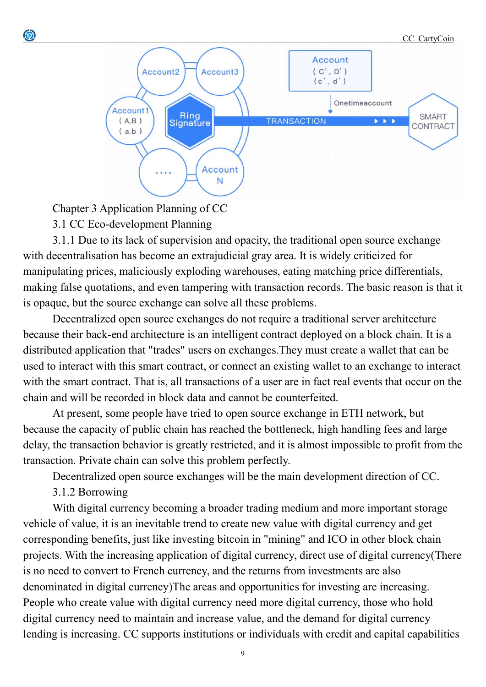#### CC\_CartyCoin



Chapter 3 Application Planning of CC

3.1 CC Eco-development Planning

0

3.1.1 Due to its lack of supervision and opacity, the traditional open source exchange with decentralisation has become an extrajudicial gray area. It is widely criticized for manipulating prices, maliciously exploding warehouses, eating matching price differentials, making false quotations, and even tampering with transaction records. The basic reason is that it is opaque, but the source exchange can solve all these problems.

Decentralized open source exchanges do not require a traditional server architecture because their back-end architecture is an intelligent contract deployed on a block chain. It is a distributed application that "trades" users on exchanges.They must create a wallet that can be used to interact with this smart contract, or connect an existing wallet to an exchange to interact with the smart contract. That is, all transactions of a user are in fact real events that occur on the chain and will be recorded in block data and cannot be counterfeited.

At present, some people have tried to open source exchange in ETH network, but because the capacity of public chain has reached the bottleneck, high handling fees and large delay, the transaction behavior is greatly restricted, and it is almost impossible to profit from the transaction. Private chain can solve this problem perfectly.

Decentralized open source exchanges will be the main development direction of CC.

3.1.2 Borrowing

With digital currency becoming a broader trading medium and more important storage vehicle of value, it is an inevitable trend to create new value with digital currency and get corresponding benefits, just like investing bitcoin in "mining" and ICO in other block chain projects. With the increasing application of digital currency, direct use of digital currency(There is no need to convert to French currency, and the returns from investments are also denominated in digital currency)The areas and opportunities for investing are increasing. People who create value with digital currency need more digital currency, those who hold digital currency need to maintain and increase value, and the demand for digital currency lending is increasing. CC supports institutions or individuals with credit and capital capabilities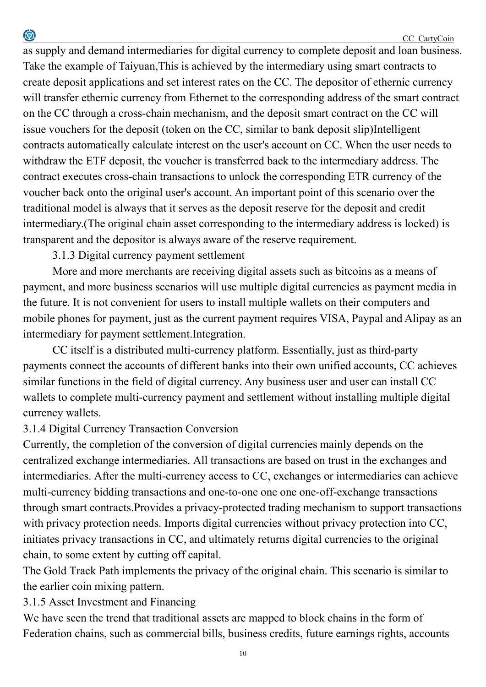as supply and demand intermediaries for digital currency to complete deposit and loan business. Take the example of Taiyuan,This is achieved by the intermediary using smart contracts to create deposit applications and set interest rates on the CC. The depositor of ethernic currency will transfer ethernic currency from Ethernet to the corresponding address of the smart contract on the CC through a cross-chain mechanism, and the deposit smart contract on the CC will issue vouchers for the deposit (token on the CC, similar to bank deposit slip)Intelligent contracts automatically calculate interest on the user's account on CC. When the user needs to withdraw the ETF deposit, the voucher is transferred back to the intermediary address. The contract executes cross-chain transactions to unlock the corresponding ETR currency of the voucher back onto the original user's account. An important point of this scenario over the traditional model is always that it serves as the deposit reserve for the deposit and credit intermediary.(The original chain asset corresponding to the intermediary address is locked) is transparent and the depositor is always aware of the reserve requirement.

3.1.3 Digital currency payment settlement

0

More and more merchants are receiving digital assets such as bitcoins as a means of payment, and more business scenarios will use multiple digital currencies as payment media in the future. It is not convenient for users to install multiple wallets on their computers and mobile phones for payment, just as the current payment requires VISA, Paypal and Alipay as an intermediary for payment settlement.Integration.

CC itself is a distributed multi-currency platform. Essentially, just as third-party payments connect the accounts of different banks into their own unified accounts, CC achieves similar functions in the field of digital currency. Any business user and user can install CC wallets to complete multi-currency payment and settlement without installing multiple digital currency wallets.

## 3.1.4 Digital Currency Transaction Conversion

Currently, the completion of the conversion of digital currencies mainly depends on the centralized exchange intermediaries. All transactions are based on trust in the exchanges and intermediaries. After the multi-currency access to CC, exchanges or intermediaries can achieve multi-currency bidding transactions and one-to-one one one one-off-exchange transactions through smart contracts.Provides a privacy-protected trading mechanism to support transactions with privacy protection needs. Imports digital currencies without privacy protection into CC, initiates privacy transactions in CC, and ultimately returns digital currencies to the original chain, to some extent by cutting off capital.

The Gold Track Path implements the privacy of the original chain. This scenario is similar to the earlier coin mixing pattern.

3.1.5 Asset Investment and Financing

We have seen the trend that traditional assets are mapped to block chains in the form of Federation chains, such as commercial bills, business credits, future earnings rights, accounts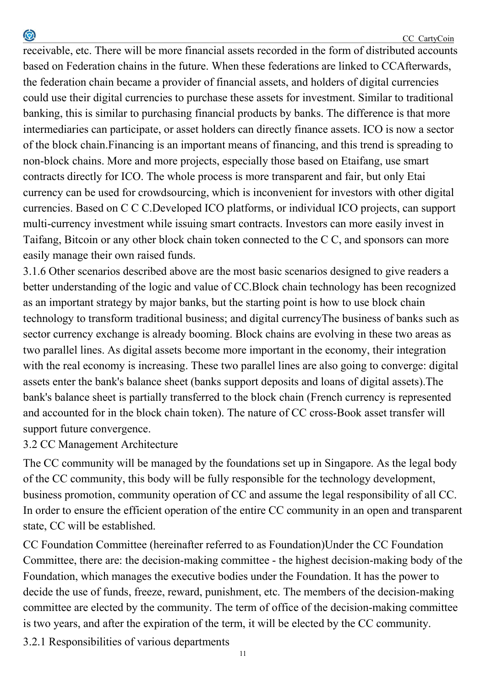receivable, etc. There will be more financial assets recorded in the form of distributed accounts based on Federation chains in the future. When these federations are linked to CCAfterwards, the federation chain became a provider of financial assets, and holders of digital currencies could use their digital currencies to purchase these assets for investment. Similar to traditional banking, this is similar to purchasing financial products by banks. The difference is that more intermediaries can participate, or asset holders can directly finance assets. ICO is now a sector of the block chain.Financing is an important means of financing, and this trend is spreading to non-block chains. More and more projects, especially those based on Etaifang, use smart contracts directly for ICO. The whole process is more transparent and fair, but only Etai currency can be used for crowdsourcing, which is inconvenient for investors with other digital currencies. Based on C C C.Developed ICO platforms, or individual ICO projects, can support multi-currency investment while issuing smart contracts. Investors can more easily invest in Taifang, Bitcoin or any other block chain token connected to the C C, and sponsors can more easily manage their own raised funds.

3.1.6 Other scenarios described above are the most basic scenarios designed to give readers a better understanding of the logic and value of CC.Block chain technology has been recognized as an important strategy by major banks, but the starting point is how to use block chain technology to transform traditional business; and digital currencyThe business of banks such as sector currency exchange is already booming. Block chains are evolving in these two areas as two parallel lines. As digital assets become more important in the economy, their integration with the real economy is increasing. These two parallel lines are also going to converge: digital assets enter the bank's balance sheet (banks support deposits and loans of digital assets).The bank's balance sheet is partially transferred to the block chain (French currency is represented and accounted for in the block chain token). The nature of CC cross-Book asset transfer will support future convergence.

### 3.2 CC Management Architecture

0

The CC community will be managed by the foundations set up in Singapore. As the legal body of the CC community, this body will be fully responsible for the technology development, business promotion, community operation of CC and assume the legal responsibility of all CC. In order to ensure the efficient operation of the entire CC community in an open and transparent state, CC will be established.

CC Foundation Committee (hereinafter referred to as Foundation)Under the CC Foundation Committee, there are: the decision-making committee - the highest decision-making body of the Foundation, which manages the executive bodies under the Foundation. It has the power to decide the use of funds, freeze, reward, punishment, etc. The members of the decision-making committee are elected by the community. The term of office of the decision-making committee is two years, and after the expiration of the term, it will be elected by the CC community.

3.2.1 Responsibilities of various departments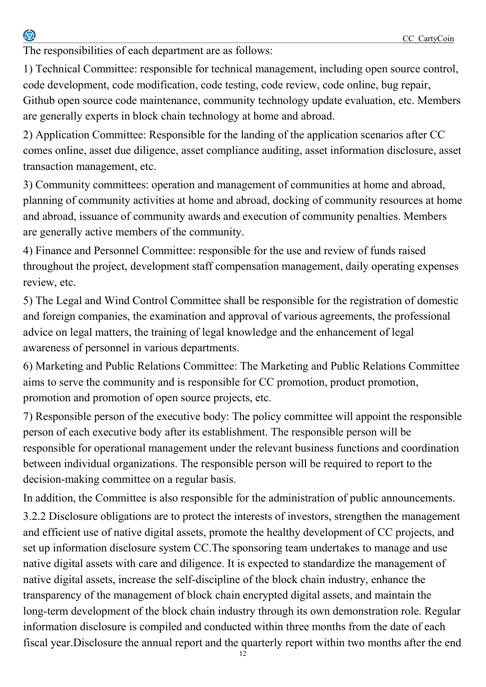The responsibilities of each department are as follows:

1) Technical Committee: responsible for technical management, including open source control, code development, code modification, code testing, code review, code online, bug repair, Github open source code maintenance, community technology update evaluation, etc. Members are generally experts in block chain technology at home and abroad.

2) Application Committee: Responsible for the landing of the application scenarios after CC comes online, asset due diligence, asset compliance auditing, asset information disclosure, asset transaction management, etc.

3) Community committees: operation and management of communities at home and abroad, planning of community activities at home and abroad, docking of community resources at home and abroad, issuance of community awards and execution of community penalties. Members are generally active members of the community.

4) Finance and Personnel Committee: responsible for the use and review of funds raised throughout the project, development staff compensation management, daily operating expenses review, etc.

5) The Legal and Wind Control Committee shall be responsible for the registration of domestic and foreign companies, the examination and approval of various agreements, the professional advice on legal matters, the training of legal knowledge and the enhancement of legal awareness of personnel in various departments.

6) Marketing and Public Relations Committee: The Marketing and Public Relations Committee aims to serve the community and is responsible for CC promotion, product promotion, promotion and promotion of open source projects, etc.

7) Responsible person of the executive body: The policy committee will appoint the responsible person of each executive body after its establishment. The responsible person will be responsible for operational management under the relevant business functions and coordination between individual organizations. The responsible person will be required to report to the decision-making committee on a regular basis.

In addition, the Committee is also responsible for the administration of public announcements.

3.2.2 Disclosure obligations are to protect the interests of investors, strengthen the management and efficient use of native digital assets, promote the healthy development of CC projects, and set up information disclosure system CC.The sponsoring team undertakes to manage and use native digital assets with care and diligence. It is expected to standardize the management of native digital assets, increase the self-discipline of the block chain industry, enhance the transparency of the management of block chain encrypted digital assets, and maintain the long-term development of the block chain industry through its own demonstration role. Regular information disclosure is compiled and conducted within three months from the date of each fiscal year.Disclosure the annual report and the quarterly report within two months after the end

 $12$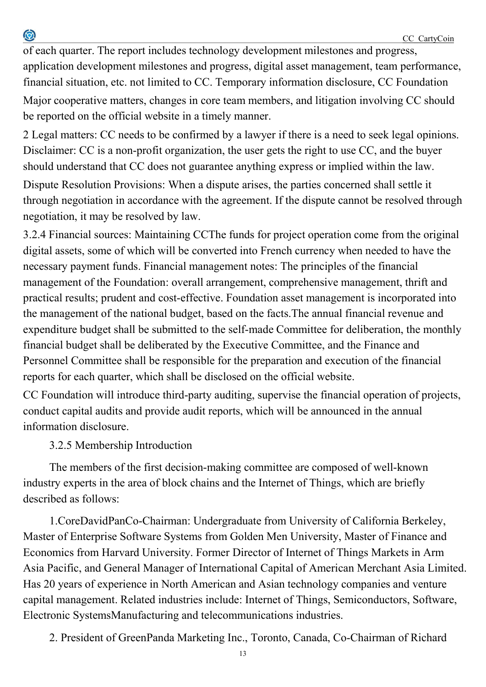of each quarter. The report includes technology development milestones and progress, application development milestones and progress, digital asset management, team performance, financial situation, etc. not limited to CC. Temporary information disclosure, CC Foundation Major cooperative matters, changes in core team members, and litigation involving CC should be reported on the official website in a timely manner.

2 Legal matters: CC needs to be confirmed by a lawyer if there is a need to seek legal opinions. Disclaimer: CC is a non-profit organization, the user gets the right to use CC, and the buyer should understand that CC does not guarantee anything express or implied within the law.

Dispute Resolution Provisions: When a dispute arises, the parties concerned shall settle it through negotiation in accordance with the agreement. If the dispute cannot be resolved through negotiation, it may be resolved by law.

3.2.4 Financial sources: Maintaining CCThe funds for project operation come from the original digital assets, some of which will be converted into French currency when needed to have the necessary payment funds. Financial management notes: The principles of the financial management of the Foundation: overall arrangement, comprehensive management, thrift and practical results; prudent and cost-effective. Foundation asset management is incorporated into the management of the national budget, based on the facts.The annual financial revenue and expenditure budget shall be submitted to the self-made Committee for deliberation, the monthly financial budget shall be deliberated by the Executive Committee, and the Finance and Personnel Committee shall be responsible for the preparation and execution of the financial reports for each quarter, which shall be disclosed on the official website.

CC Foundation will introduce third-party auditing, supervise the financial operation of projects, conduct capital audits and provide audit reports, which will be announced in the annual information disclosure.

3.2.5 Membership Introduction

0

The members of the first decision-making committee are composed of well-known industry experts in the area of block chains and the Internet of Things, which are briefly described as follows:

1.CoreDavidPanCo-Chairman: Undergraduate from University of California Berkeley, Master of Enterprise Software Systems from Golden Men University, Master of Finance and Economics from Harvard University. Former Director of Internet of Things Markets in Arm Asia Pacific, and General Manager of International Capital of American Merchant Asia Limited. Has 20 years of experience in North American and Asian technology companies and venture capital management. Related industries include: Internet of Things, Semiconductors, Software, Electronic SystemsManufacturing and telecommunications industries.

2. President of GreenPanda Marketing Inc., Toronto, Canada, Co-Chairman of Richard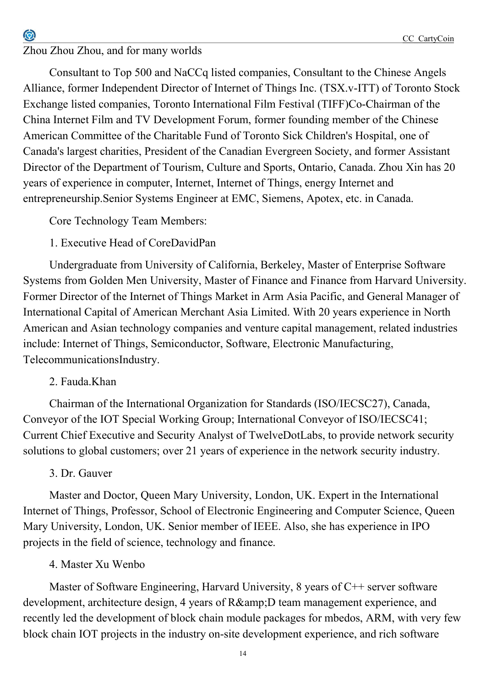## Zhou Zhou Zhou, and for many worlds

0

Consultant to Top 500 and NaCCq listed companies, Consultant to the Chinese Angels Alliance, former Independent Director of Internet of Things Inc. (TSX.v-ITT) of Toronto Stock Exchange listed companies, Toronto International Film Festival (TIFF)Co-Chairman of the China Internet Film and TV Development Forum, former founding member of the Chinese American Committee of the Charitable Fund of Toronto Sick Children's Hospital, one of Canada's largest charities, President of the Canadian Evergreen Society, and former Assistant Director of the Department of Tourism, Culture and Sports, Ontario, Canada. Zhou Xin has 20 years of experience in computer, Internet, Internet of Things, energy Internet and entrepreneurship.Senior Systems Engineer at EMC, Siemens, Apotex, etc. in Canada.

Core Technology Team Members:

# 1. Executive Head of CoreDavidPan

Undergraduate from University of California, Berkeley, Master of Enterprise Software Systems from Golden Men University, Master of Finance and Finance from Harvard University. Former Director of the Internet of Things Market in Arm Asia Pacific, and General Manager of International Capital of American Merchant Asia Limited. With 20 years experience in North American and Asian technology companies and venture capital management, related industries include: Internet of Things, Semiconductor, Software, Electronic Manufacturing, TelecommunicationsIndustry.

# 2. Fauda.Khan

Chairman of the International Organization for Standards (ISO/IECSC27), Canada, Conveyor of the IOT Special Working Group; International Conveyor of ISO/IECSC41; Current Chief Executive and Security Analyst of TwelveDotLabs, to provide network security solutions to global customers; over 21 years of experience in the network security industry.

# 3. Dr. Gauver

Master and Doctor, Queen Mary University, London, UK. Expert in the International Internet of Things, Professor, School of Electronic Engineering and Computer Science, Queen Mary University, London, UK. Senior member of IEEE. Also, she has experience in IPO projects in the field of science, technology and finance.

# 4. Master Xu Wenbo

Master of Software Engineering, Harvard University, 8 years of C++ server software development, architecture design, 4 years of R& D team management experience, and recently led the development of block chain module packages for mbedos, ARM, with very few block chain IOT projects in the industry on-site development experience, and rich software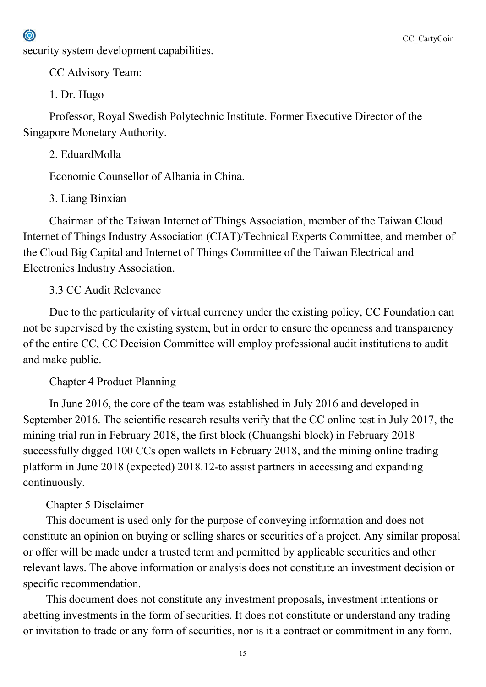security system development capabilities.

CC Advisory Team:

1. Dr. Hugo

Professor, Royal Swedish Polytechnic Institute. Former Executive Director of the Singapore Monetary Authority.

2. EduardMolla

Economic Counsellor of Albania in China.

3. Liang Binxian

Chairman of the Taiwan Internet of Things Association, member of the Taiwan Cloud Internet of Things Industry Association (CIAT)/Technical Experts Committee, and member of the Cloud Big Capital and Internet of Things Committee of the Taiwan Electrical and Electronics Industry Association.

3.3 CC Audit Relevance

Due to the particularity of virtual currency under the existing policy, CC Foundation can not be supervised by the existing system, but in order to ensure the openness and transparency of the entire CC, CC Decision Committee will employ professional audit institutions to audit and make public.

Chapter 4 Product Planning

In June 2016, the core of the team was established in July 2016 and developed in September 2016. The scientific research results verify that the CC online test in July 2017, the mining trial run in February 2018, the first block (Chuangshi block) in February 2018 successfully digged 100 CCs open wallets in February 2018, and the mining online trading platform in June 2018 (expected) 2018.12-to assist partners in accessing and expanding continuously.

## Chapter 5 Disclaimer

This document is used only for the purpose of conveying information and does not constitute an opinion on buying or selling shares or securities of a project. Any similar proposal or offer will be made under a trusted term and permitted by applicable securities and other relevant laws. The above information or analysis does not constitute an investment decision or specific recommendation.

This document does not constitute any investment proposals, investment intentions or abetting investments in the form of securities. It does not constitute or understand any trading or invitation to trade or any form of securities, nor is it a contract or commitment in any form.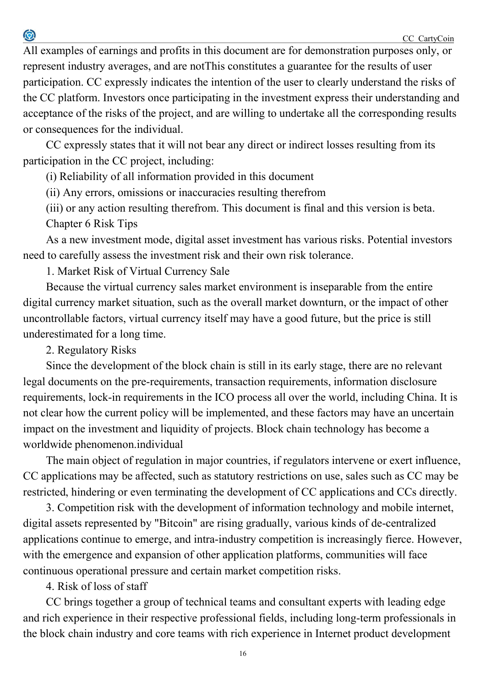All examples of earnings and profits in this document are for demonstration purposes only, or represent industry averages, and are notThis constitutes a guarantee for the results of user participation. CC expressly indicates the intention of the user to clearly understand the risks of the CC platform. Investors once participating in the investment express their understanding and acceptance of the risks of the project, and are willing to undertake all the corresponding results or consequences for the individual.

CC expressly states that it will not bear any direct or indirect losses resulting from its participation in the CC project, including:

(i) Reliability of all information provided in this document

(ii) Any errors, omissions or inaccuracies resulting therefrom

(iii) or any action resulting therefrom. This document is final and this version is beta. Chapter 6 Risk Tips

As a new investment mode, digital asset investment has various risks. Potential investors need to carefully assess the investment risk and their own risk tolerance.

1. Market Risk of Virtual Currency Sale

Because the virtual currency sales market environment is inseparable from the entire digital currency market situation, such as the overall market downturn, or the impact of other uncontrollable factors, virtual currency itself may have a good future, but the price is still underestimated for a long time.

2. Regulatory Risks

 $\bigcirc$ 

Since the development of the block chain is still in its early stage, there are no relevant legal documents on the pre-requirements, transaction requirements, information disclosure requirements, lock-in requirements in the ICO process all over the world, including China. It is not clear how the current policy will be implemented, and these factors may have an uncertain impact on the investment and liquidity of projects. Block chain technology has become a worldwide phenomenon.individual

The main object of regulation in major countries, if regulators intervene or exert influence, CC applications may be affected, such as statutory restrictions on use, sales such as CC may be restricted, hindering or even terminating the development of CC applications and CCs directly.

3. Competition risk with the development of information technology and mobile internet, digital assets represented by "Bitcoin" are rising gradually, various kinds of de-centralized applications continue to emerge, and intra-industry competition is increasingly fierce. However, with the emergence and expansion of other application platforms, communities will face continuous operational pressure and certain market competition risks.

4. Risk of loss of staff

CC brings together a group of technical teams and consultant experts with leading edge and rich experience in their respective professional fields, including long-term professionals in the block chain industry and core teams with rich experience in Internet product development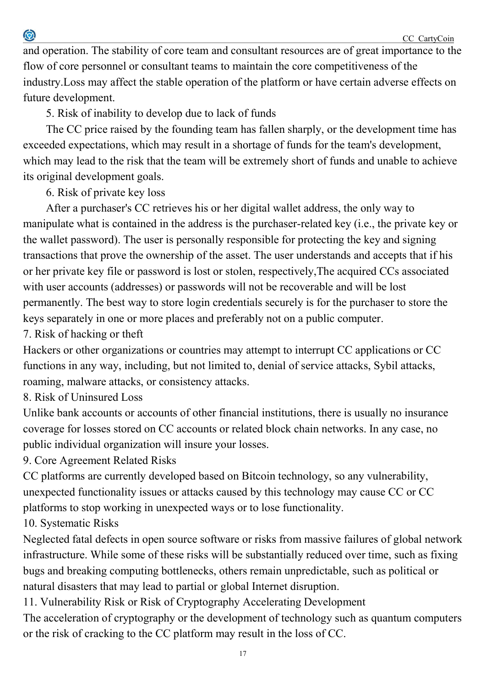and operation. The stability of core team and consultant resources are of great importance to the flow of core personnel or consultant teams to maintain the core competitiveness of the industry.Loss may affect the stable operation of the platform or have certain adverse effects on future development.

5. Risk of inability to develop due to lack of funds

The CC price raised by the founding team has fallen sharply, or the development time has exceeded expectations, which may result in a shortage of funds for the team's development, which may lead to the risk that the team will be extremely short of funds and unable to achieve its original development goals.

6. Risk of private key loss

 $\bigcirc$ 

After a purchaser's CC retrieves his or her digital wallet address, the only way to manipulate what is contained in the address is the purchaser-related key (i.e., the private key or the wallet password). The user is personally responsible for protecting the key and signing transactions that prove the ownership of the asset. The user understands and accepts that if his or her private key file or password is lost or stolen, respectively,The acquired CCs associated with user accounts (addresses) or passwords will not be recoverable and will be lost permanently. The best way to store login credentials securely is for the purchaser to store the keys separately in one or more places and preferably not on a public computer. 7. Risk of hacking or theft

Hackers or other organizations or countries may attempt to interrupt CC applications or CC functions in any way, including, but not limited to, denial of service attacks, Sybil attacks, roaming, malware attacks, or consistency attacks.

8. Risk of Uninsured Loss

Unlike bank accounts or accounts of other financial institutions, there is usually no insurance coverage for losses stored on CC accounts or related block chain networks. In any case, no public individual organization will insure your losses.

9. Core Agreement Related Risks

CC platforms are currently developed based on Bitcoin technology, so any vulnerability, unexpected functionality issues or attacks caused by this technology may cause CC or CC platforms to stop working in unexpected ways or to lose functionality.

10. Systematic Risks

Neglected fatal defects in open source software or risks from massive failures of global network infrastructure. While some of these risks will be substantially reduced over time, such as fixing bugs and breaking computing bottlenecks, others remain unpredictable, such as political or natural disasters that may lead to partial or global Internet disruption.

11. Vulnerability Risk or Risk of Cryptography Accelerating Development

The acceleration of cryptography or the development of technology such as quantum computers or the risk of cracking to the CC platform may result in the loss of CC.